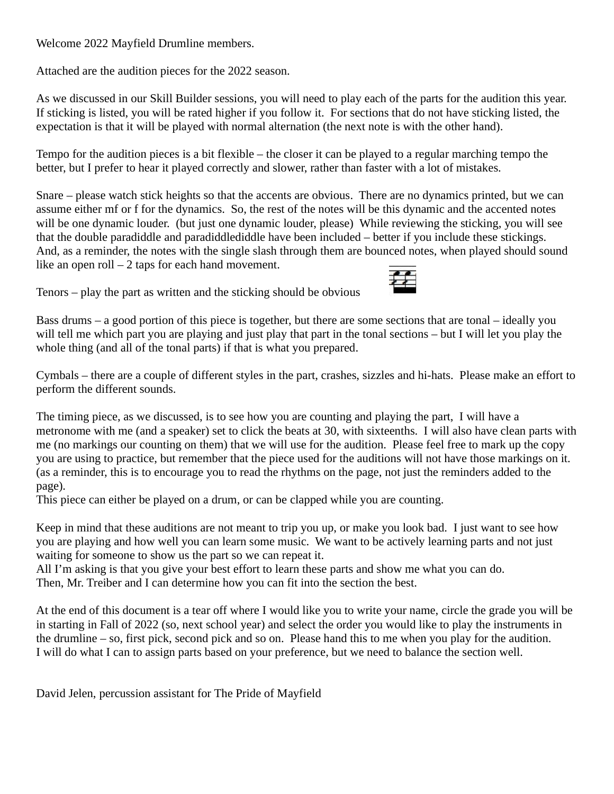Welcome 2022 Mayfield Drumline members.

Attached are the audition pieces for the 2022 season.

As we discussed in our Skill Builder sessions, you will need to play each of the parts for the audition this year. If sticking is listed, you will be rated higher if you follow it. For sections that do not have sticking listed, the expectation is that it will be played with normal alternation (the next note is with the other hand).

Tempo for the audition pieces is a bit flexible – the closer it can be played to a regular marching tempo the better, but I prefer to hear it played correctly and slower, rather than faster with a lot of mistakes.

Snare – please watch stick heights so that the accents are obvious. There are no dynamics printed, but we can assume either mf or f for the dynamics. So, the rest of the notes will be this dynamic and the accented notes will be one dynamic louder. (but just one dynamic louder, please) While reviewing the sticking, you will see that the double paradiddle and paradiddlediddle have been included – better if you include these stickings. And, as a reminder, the notes with the single slash through them are bounced notes, when played should sound like an open roll – 2 taps for each hand movement.



Tenors – play the part as written and the sticking should be obvious

Bass drums – a good portion of this piece is together, but there are some sections that are tonal – ideally you will tell me which part you are playing and just play that part in the tonal sections – but I will let you play the whole thing (and all of the tonal parts) if that is what you prepared.

Cymbals – there are a couple of different styles in the part, crashes, sizzles and hi-hats. Please make an effort to perform the different sounds.

The timing piece, as we discussed, is to see how you are counting and playing the part, I will have a metronome with me (and a speaker) set to click the beats at 30, with sixteenths. I will also have clean parts with me (no markings our counting on them) that we will use for the audition. Please feel free to mark up the copy you are using to practice, but remember that the piece used for the auditions will not have those markings on it. (as a reminder, this is to encourage you to read the rhythms on the page, not just the reminders added to the page).

This piece can either be played on a drum, or can be clapped while you are counting.

Keep in mind that these auditions are not meant to trip you up, or make you look bad. I just want to see how you are playing and how well you can learn some music. We want to be actively learning parts and not just waiting for someone to show us the part so we can repeat it.

All I'm asking is that you give your best effort to learn these parts and show me what you can do. Then, Mr. Treiber and I can determine how you can fit into the section the best.

At the end of this document is a tear off where I would like you to write your name, circle the grade you will be in starting in Fall of 2022 (so, next school year) and select the order you would like to play the instruments in the drumline – so, first pick, second pick and so on. Please hand this to me when you play for the audition. I will do what I can to assign parts based on your preference, but we need to balance the section well.

David Jelen, percussion assistant for The Pride of Mayfield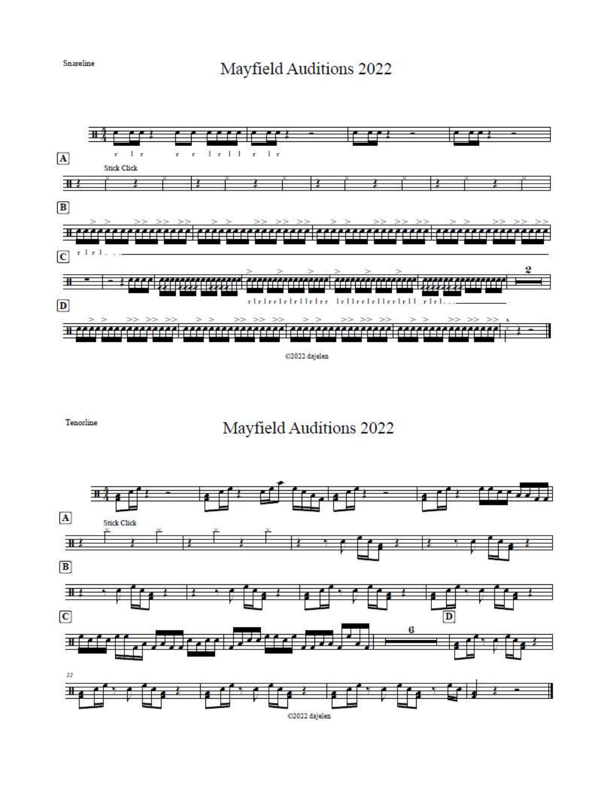## Mayfield Auditions 2022



C2022 dajelen

Tenorline

## Mayfield Auditions 2022



Snareline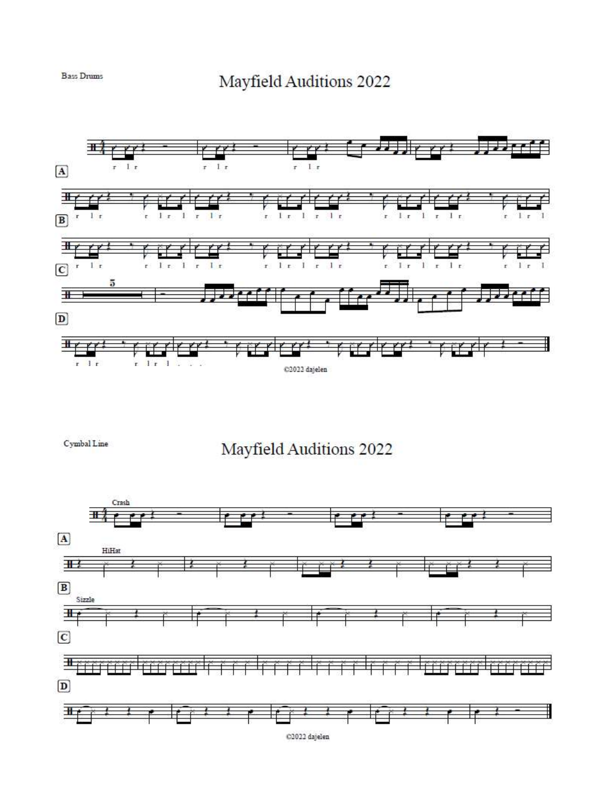

Cymbal Line

Mayfield Auditions 2022